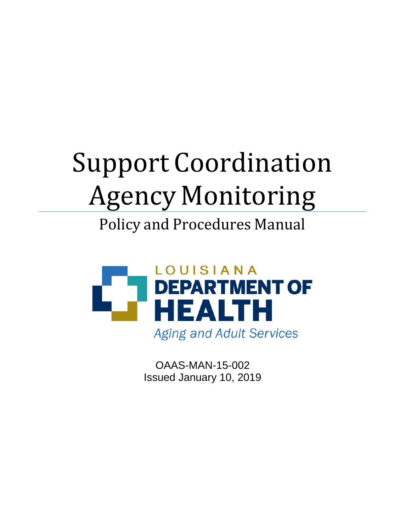# Support Coordination Agency Monitoring

# Policy and Procedures Manual



OAAS-MAN-15-002 Issued January 10, 2019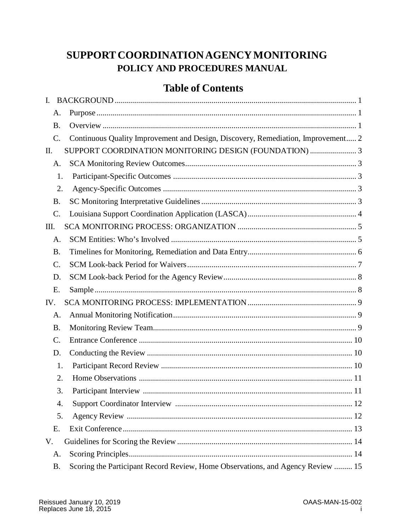# SUPPORT COORDINATION AGENCY MONITORING POLICY AND PROCEDURES MANUAL

# **Table of Contents**

| $\mathbf{I}$ . |                                                                                  |
|----------------|----------------------------------------------------------------------------------|
| A.             |                                                                                  |
| <b>B.</b>      |                                                                                  |
| C.             | Continuous Quality Improvement and Design, Discovery, Remediation, Improvement 2 |
| П.             | SUPPORT COORDINATION MONITORING DESIGN (FOUNDATION) 3                            |
| A.             |                                                                                  |
|                | 1.                                                                               |
|                | 2.                                                                               |
| Β.             |                                                                                  |
| C.             |                                                                                  |
| Ш.             |                                                                                  |
| A.             |                                                                                  |
| Β.             |                                                                                  |
| C.             |                                                                                  |
| D.             |                                                                                  |
| E.             |                                                                                  |
| IV.            |                                                                                  |
| A.             |                                                                                  |
| <b>B.</b>      |                                                                                  |
| C.             |                                                                                  |
| D.             |                                                                                  |
|                | 1.                                                                               |
|                | 2.                                                                               |
|                | 3.                                                                               |
| 4.             |                                                                                  |
|                | 5.                                                                               |
| E.             |                                                                                  |
| V.             |                                                                                  |
| А.             |                                                                                  |
| Β.             | Scoring the Participant Record Review, Home Observations, and Agency Review  15  |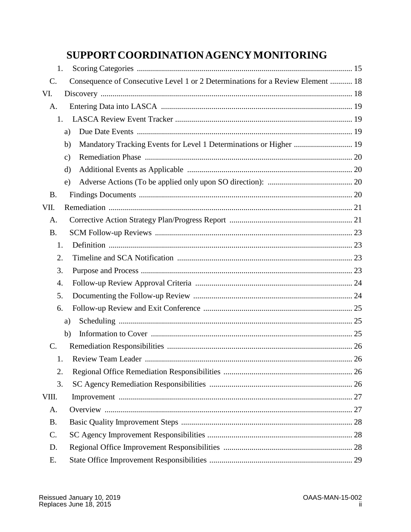# SUPPORT COORDINATION AGENCY MONITORING

| 1.        |                                                                                    |  |
|-----------|------------------------------------------------------------------------------------|--|
| C.        | Consequence of Consecutive Level 1 or 2 Determinations for a Review Element  18    |  |
| VI.       |                                                                                    |  |
| A.        |                                                                                    |  |
| 1.        |                                                                                    |  |
|           | a)                                                                                 |  |
|           | Mandatory Tracking Events for Level 1 Determinations or Higher  19<br>$\mathbf{b}$ |  |
|           | $\mathbf{c})$                                                                      |  |
|           | d)                                                                                 |  |
|           | e)                                                                                 |  |
| <b>B.</b> |                                                                                    |  |
| VII.      |                                                                                    |  |
| A.        |                                                                                    |  |
| <b>B.</b> |                                                                                    |  |
| 1.        |                                                                                    |  |
| 2.        |                                                                                    |  |
| 3.        |                                                                                    |  |
| 4.        |                                                                                    |  |
| 5.        |                                                                                    |  |
| 6.        |                                                                                    |  |
|           | a)                                                                                 |  |
|           | b)                                                                                 |  |
| C.        |                                                                                    |  |
| 1.        |                                                                                    |  |
| 2.        |                                                                                    |  |
| 3.        |                                                                                    |  |
| VIII.     |                                                                                    |  |
| A.        |                                                                                    |  |
| <b>B.</b> |                                                                                    |  |
| C.        |                                                                                    |  |
| D.        |                                                                                    |  |
| Е.        |                                                                                    |  |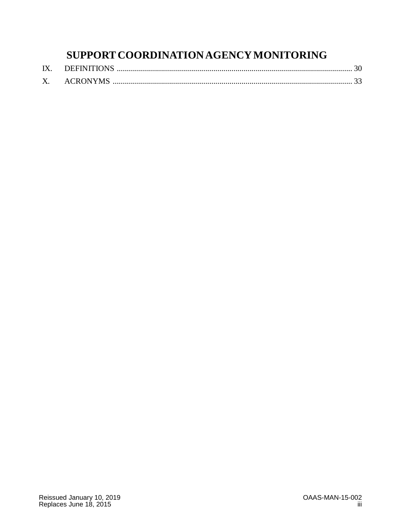# **SUPPORT COORDINATIONAGENCYMONITORING**

| IX. |             |  |
|-----|-------------|--|
|     | X. ACRONYMS |  |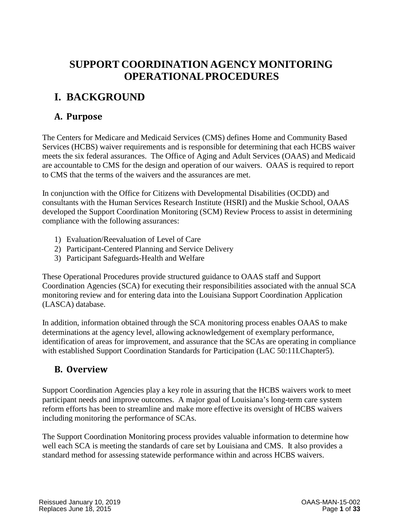# **SUPPORT COORDINATION AGENCY MONITORING OPERATIONALPROCEDURES**

# <span id="page-4-0"></span>**I. BACKGROUND**

# <span id="page-4-1"></span>**A. Purpose**

The Centers for Medicare and Medicaid Services (CMS) defines Home and Community Based Services (HCBS) waiver requirements and is responsible for determining that each HCBS waiver meets the six federal assurances. The Office of Aging and Adult Services (OAAS) and Medicaid are accountable to CMS for the design and operation of our waivers. OAAS is required to report to CMS that the terms of the waivers and the assurances are met.

In conjunction with the Office for Citizens with Developmental Disabilities (OCDD) and consultants with the Human Services Research Institute (HSRI) and the Muskie School, OAAS developed the Support Coordination Monitoring (SCM) Review Process to assist in determining compliance with the following assurances:

- 1) Evaluation/Reevaluation of Level of Care
- 2) Participant-Centered Planning and Service Delivery
- 3) Participant Safeguards-Health and Welfare

These Operational Procedures provide structured guidance to OAAS staff and Support Coordination Agencies (SCA) for executing their responsibilities associated with the annual SCA monitoring review and for entering data into the Louisiana Support Coordination Application (LASCA) database.

In addition, information obtained through the SCA monitoring process enables OAAS to make determinations at the agency level, allowing acknowledgement of exemplary performance, identification of areas for improvement, and assurance that the SCAs are operating in compliance with established Support Coordination Standards for Participation (LAC 50:11I.Chapter5).

### <span id="page-4-2"></span>**B. Overview**

Support Coordination Agencies play a key role in assuring that the HCBS waivers work to meet participant needs and improve outcomes. A major goal of Louisiana's long-term care system reform efforts has been to streamline and make more effective its oversight of HCBS waivers including monitoring the performance of SCAs.

The Support Coordination Monitoring process provides valuable information to determine how well each SCA is meeting the standards of care set by Louisiana and CMS. It also provides a standard method for assessing statewide performance within and across HCBS waivers.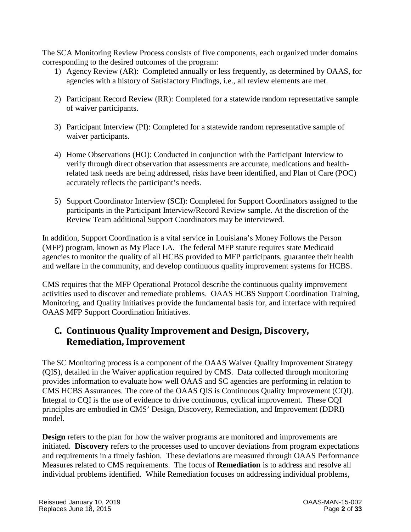The SCA Monitoring Review Process consists of five components, each organized under domains corresponding to the desired outcomes of the program:

- 1) Agency Review (AR): Completed annually or less frequently, as determined by OAAS, for agencies with a history of Satisfactory Findings, i.e., all review elements are met.
- 2) Participant Record Review (RR): Completed for a statewide random representative sample of waiver participants.
- 3) Participant Interview (PI): Completed for a statewide random representative sample of waiver participants.
- 4) Home Observations (HO): Conducted in conjunction with the Participant Interview to verify through direct observation that assessments are accurate, medications and healthrelated task needs are being addressed, risks have been identified, and Plan of Care (POC) accurately reflects the participant's needs.
- 5) Support Coordinator Interview (SCI): Completed for Support Coordinators assigned to the participants in the Participant Interview/Record Review sample. At the discretion of the Review Team additional Support Coordinators may be interviewed.

In addition, Support Coordination is a vital service in Louisiana's Money Follows the Person (MFP) program, known as My Place LA. The federal MFP statute requires state Medicaid agencies to monitor the quality of all HCBS provided to MFP participants, guarantee their health and welfare in the community, and develop continuous quality improvement systems for HCBS.

CMS requires that the MFP Operational Protocol describe the continuous quality improvement activities used to discover and remediate problems. OAAS HCBS Support Coordination Training, Monitoring, and Quality Initiatives provide the fundamental basis for, and interface with required OAAS MFP Support Coordination Initiatives.

### <span id="page-5-0"></span>**C. Continuous Quality Improvement and Design, Discovery, Remediation, Improvement**

The SC Monitoring process is a component of the OAAS Waiver Quality Improvement Strategy (QIS), detailed in the Waiver application required by CMS. Data collected through monitoring provides information to evaluate how well OAAS and SC agencies are performing in relation to CMS HCBS Assurances. The core of the OAAS QIS is Continuous Quality Improvement (CQI). Integral to CQI is the use of evidence to drive continuous, cyclical improvement. These CQI principles are embodied in CMS' Design, Discovery, Remediation, and Improvement (DDRI) model.

**Design** refers to the plan for how the waiver programs are monitored and improvements are initiated. **Discovery** refers to the processes used to uncover deviations from program expectations and requirements in a timely fashion. These deviations are measured through OAAS Performance Measures related to CMS requirements. The focus of **Remediation** is to address and resolve all individual problems identified. While Remediation focuses on addressing individual problems,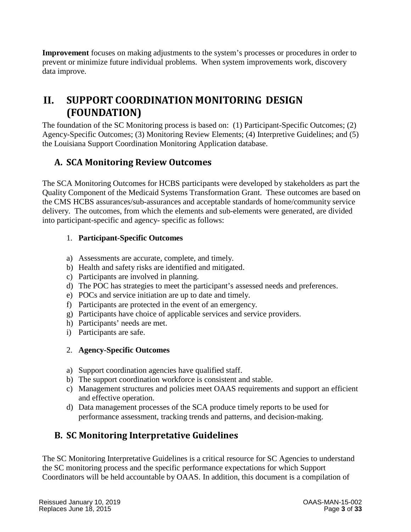**Improvement** focuses on making adjustments to the system's processes or procedures in order to prevent or minimize future individual problems. When system improvements work, discovery data improve.

# <span id="page-6-0"></span>**II. SUPPORT COORDINATION MONITORING DESIGN (FOUNDATION)**

The foundation of the SC Monitoring process is based on: (1) Participant-Specific Outcomes; (2) Agency-Specific Outcomes; (3) Monitoring Review Elements; (4) Interpretive Guidelines; and (5) the Louisiana Support Coordination Monitoring Application database.

# <span id="page-6-1"></span>**A. SCA Monitoring Review Outcomes**

The SCA Monitoring Outcomes for HCBS participants were developed by stakeholders as part the Quality Component of the Medicaid Systems Transformation Grant. These outcomes are based on the CMS HCBS assurances/sub-assurances and acceptable standards of home/community service delivery. The outcomes, from which the elements and sub-elements were generated, are divided into participant-specific and agency- specific as follows:

#### <span id="page-6-2"></span>1. **Participant-Specific Outcomes**

- a) Assessments are accurate, complete, and timely.
- b) Health and safety risks are identified and mitigated.
- c) Participants are involved in planning.
- d) The POC has strategies to meet the participant's assessed needs and preferences.
- e) POCs and service initiation are up to date and timely.
- f) Participants are protected in the event of an emergency.
- g) Participants have choice of applicable services and service providers.
- h) Participants' needs are met.
- i) Participants are safe.

#### <span id="page-6-3"></span>2. **Agency-Specific Outcomes**

- a) Support coordination agencies have qualified staff.
- b) The support coordination workforce is consistent and stable.
- c) Management structures and policies meet OAAS requirements and support an efficient and effective operation.
- d) Data management processes of the SCA produce timely reports to be used for performance assessment, tracking trends and patterns, and decision-making.

# <span id="page-6-4"></span>**B. SC Monitoring Interpretative Guidelines**

The SC Monitoring Interpretative Guidelines is a critical resource for SC Agencies to understand the SC monitoring process and the specific performance expectations for which Support Coordinators will be held accountable by OAAS. In addition, this document is a compilation of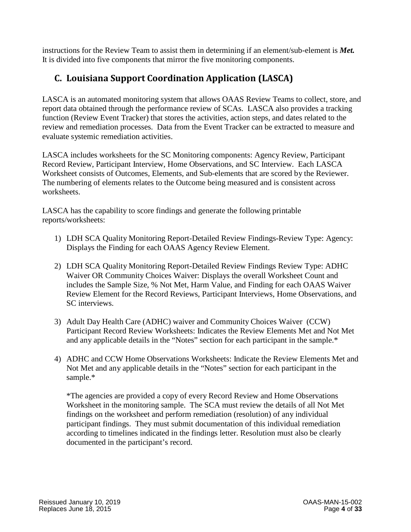instructions for the Review Team to assist them in determining if an element/sub-element is *Met.* It is divided into five components that mirror the five monitoring components.

# <span id="page-7-0"></span>**C. Louisiana Support Coordination Application (LASCA)**

LASCA is an automated monitoring system that allows OAAS Review Teams to collect, store, and report data obtained through the performance review of SCAs. LASCA also provides a tracking function (Review Event Tracker) that stores the activities, action steps, and dates related to the review and remediation processes. Data from the Event Tracker can be extracted to measure and evaluate systemic remediation activities.

LASCA includes worksheets for the SC Monitoring components: Agency Review, Participant Record Review, Participant Interview, Home Observations, and SC Interview. Each LASCA Worksheet consists of Outcomes, Elements, and Sub-elements that are scored by the Reviewer. The numbering of elements relates to the Outcome being measured and is consistent across worksheets.

LASCA has the capability to score findings and generate the following printable reports/worksheets:

- 1) LDH SCA Quality Monitoring Report-Detailed Review Findings-Review Type: Agency: Displays the Finding for each OAAS Agency Review Element.
- 2) LDH SCA Quality Monitoring Report-Detailed Review Findings Review Type: ADHC Waiver OR Community Choices Waiver: Displays the overall Worksheet Count and includes the Sample Size, % Not Met, Harm Value, and Finding for each OAAS Waiver Review Element for the Record Reviews, Participant Interviews, Home Observations, and SC interviews.
- 3) Adult Day Health Care (ADHC) waiver and Community Choices Waiver (CCW) Participant Record Review Worksheets: Indicates the Review Elements Met and Not Met and any applicable details in the "Notes" section for each participant in the sample.\*
- 4) ADHC and CCW Home Observations Worksheets: Indicate the Review Elements Met and Not Met and any applicable details in the "Notes" section for each participant in the sample.\*

\*The agencies are provided a copy of every Record Review and Home Observations Worksheet in the monitoring sample. The SCA must review the details of all Not Met findings on the worksheet and perform remediation (resolution) of any individual participant findings. They must submit documentation of this individual remediation according to timelines indicated in the findings letter. Resolution must also be clearly documented in the participant's record.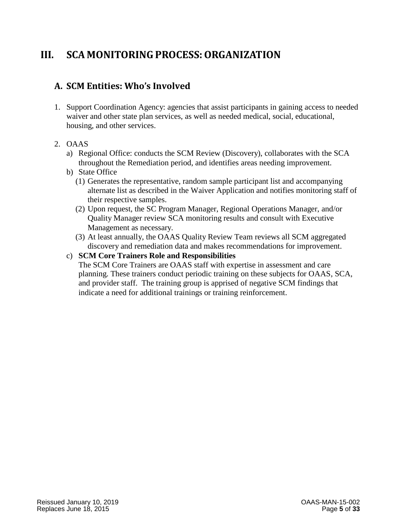# <span id="page-8-0"></span>**III. SCA MONITORINGPROCESS:ORGANIZATION**

# <span id="page-8-1"></span>**A. SCM Entities: Who's Involved**

1. Support Coordination Agency: agencies that assist participants in gaining access to needed waiver and other state plan services, as well as needed medical, social, educational, housing, and other services.

#### 2. OAAS

- a) Regional Office: conducts the SCM Review (Discovery), collaborates with the SCA throughout the Remediation period, and identifies areas needing improvement.
- b) State Office
	- (1) Generates the representative, random sample participant list and accompanying alternate list as described in the Waiver Application and notifies monitoring staff of their respective samples.
	- (2) Upon request, the SC Program Manager, Regional Operations Manager, and/or Quality Manager review SCA monitoring results and consult with Executive Management as necessary.
	- (3) At least annually, the OAAS Quality Review Team reviews all SCM aggregated discovery and remediation data and makes recommendations for improvement.

#### c) **SCM Core Trainers Role and Responsibilities**

The SCM Core Trainers are OAAS staff with expertise in assessment and care planning. These trainers conduct periodic training on these subjects for OAAS, SCA, and provider staff. The training group is apprised of negative SCM findings that indicate a need for additional trainings or training reinforcement.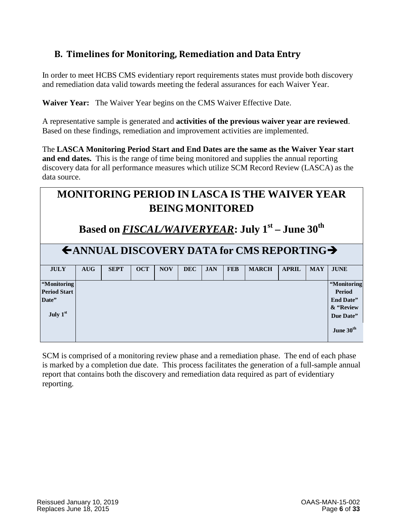# <span id="page-9-0"></span>**B. Timelines for Monitoring, Remediation and Data Entry**

In order to meet HCBS CMS evidentiary report requirements states must provide both discovery and remediation data valid towards meeting the federal assurances for each Waiver Year.

**Waiver Year:** The Waiver Year begins on the CMS Waiver Effective Date.

A representative sample is generated and **activities of the previous waiver year are reviewed**. Based on these findings, remediation and improvement activities are implemented.

The **LASCA Monitoring Period Start and End Dates are the same as the Waiver Year start and end dates.** This is the range of time being monitored and supplies the annual reporting discovery data for all performance measures which utilize SCM Record Review (LASCA) as the data source.

| <b>MONITORING PERIOD IN LASCA IS THE WAIVER YEAR</b><br><b>BEING MONITORED</b> |            |             |            |            |            |            |            |              |              |            |                                                                             |
|--------------------------------------------------------------------------------|------------|-------------|------------|------------|------------|------------|------------|--------------|--------------|------------|-----------------------------------------------------------------------------|
| Based on FISCAL/WAIVERYEAR: July 1 <sup>st</sup> – June 30 <sup>th</sup>       |            |             |            |            |            |            |            |              |              |            |                                                                             |
| $\leftarrow$ ANNUAL DISCOVERY DATA for CMS REPORTING $\rightarrow$             |            |             |            |            |            |            |            |              |              |            |                                                                             |
| <b>JULY</b>                                                                    | <b>AUG</b> | <b>SEPT</b> | <b>OCT</b> | <b>NOV</b> | <b>DEC</b> | <b>JAN</b> | <b>FEB</b> | <b>MARCH</b> | <b>APRIL</b> | <b>MAY</b> | <b>JUNE</b>                                                                 |
| 'Monitoring<br><b>Period Start</b><br>Date"<br>July 1st                        |            |             |            |            |            |            |            |              |              |            | 'Monitoring<br>Period<br>End Date"<br>& "Review<br>Due Date"<br>June $30th$ |

SCM is comprised of a monitoring review phase and a remediation phase. The end of each phase is marked by a completion due date. This process facilitates the generation of a full-sample annual report that contains both the discovery and remediation data required as part of evidentiary reporting.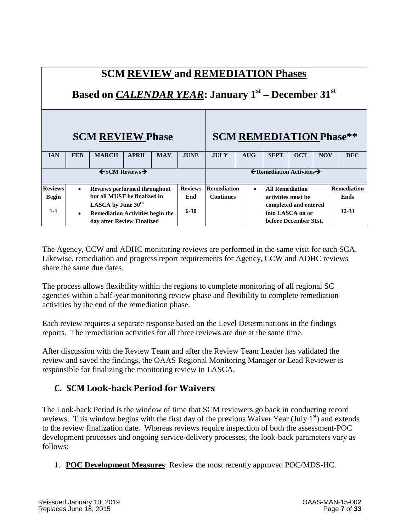| <b>SCM REVIEW and REMEDIATION Phases</b><br>Based on CALENDAR YEAR: January 1 <sup>st</sup> – December 31 <sup>st</sup> |                              |                                                                                                         |                                        |            |                                                   |                    |           |                                                                    |             |            |                    |
|-------------------------------------------------------------------------------------------------------------------------|------------------------------|---------------------------------------------------------------------------------------------------------|----------------------------------------|------------|---------------------------------------------------|--------------------|-----------|--------------------------------------------------------------------|-------------|------------|--------------------|
|                                                                                                                         |                              | <b>SCM REVIEW Phase</b>                                                                                 |                                        |            |                                                   |                    |           | <b>SCM REMEDIATION Phase**</b>                                     |             |            |                    |
| <b>JAN</b>                                                                                                              | <b>FEB</b>                   | <b>MARCH</b>                                                                                            | <b>APRIL</b>                           | <b>MAY</b> | <b>JUNE</b>                                       | <b>JULY</b>        | AIIG      | <b>SEPT</b>                                                        | <b>OCT</b>  | <b>NOV</b> | <b>DEC</b>         |
|                                                                                                                         |                              |                                                                                                         | $\leftarrow$ SCM Reviews $\rightarrow$ |            | $\leftarrow$ Remediation Activities $\rightarrow$ |                    |           |                                                                    |             |            |                    |
| <b>Reviews</b>                                                                                                          | $\bullet$                    | <b>Reviews performed throughout</b>                                                                     |                                        |            |                                                   | <b>Remediation</b> | $\bullet$ | <b>All Remediation</b>                                             |             |            | <b>Remediation</b> |
| <b>Begin</b>                                                                                                            | but all MUST be finalized in |                                                                                                         |                                        |            |                                                   | <b>Continues</b>   |           | activities must be                                                 | <b>Ends</b> |            |                    |
| $1-1$                                                                                                                   | $\bullet$                    | LASCA by June 30 <sup>th</sup><br><b>Remediation Activities begin the</b><br>day after Review Finalized |                                        |            | $6 - 30$                                          |                    |           | completed and entered<br>into LASCA on or<br>before December 31st. |             |            | 12-31              |

The Agency, CCW and ADHC monitoring reviews are performed in the same visit for each SCA. Likewise, remediation and progress report requirements for Agency, CCW and ADHC reviews share the same due dates.

The process allows flexibility within the regions to complete monitoring of all regional SC agencies within a half-year monitoring review phase and flexibility to complete remediation activities by the end of the remediation phase.

Each review requires a separate response based on the Level Determinations in the findings reports. The remediation activities for all three reviews are due at the same time.

After discussion with the Review Team and after the Review Team Leader has validated the review and saved the findings, the OAAS Regional Monitoring Manager or Lead Reviewer is responsible for finalizing the monitoring review in LASCA.

### <span id="page-10-0"></span>**C. SCM Look-back Period for Waivers**

The Look-back Period is the window of time that SCM reviewers go back in conducting record reviews. This window begins with the first day of the previous Waiver Year (July  $1<sup>st</sup>$ ) and extends to the review finalization date. Whereas reviews require inspection of both the assessment-POC development processes and ongoing service-delivery processes, the look-back parameters vary as follows:

1. **POC Development Measures**: Review the most recently approved POC/MDS-HC.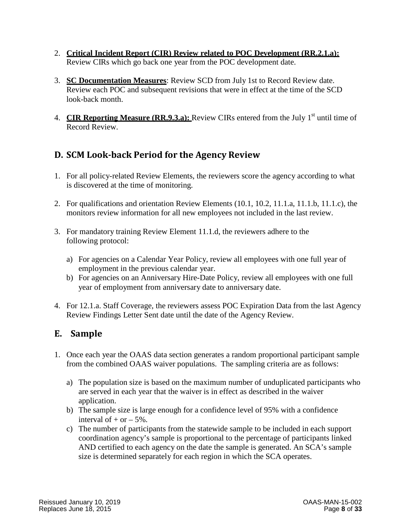- 2. **Critical Incident Report (CIR) Review related to POC Development (RR.2.1.a):** Review CIRs which go back one year from the POC development date.
- 3. **SC Documentation Measures**: Review SCD from July 1st to Record Review date. Review each POC and subsequent revisions that were in effect at the time of the SCD look-back month.
- 4. CIR Reporting Measure (RR.9.3.a): Review CIRs entered from the July 1<sup>st</sup> until time of Record Review.

# <span id="page-11-0"></span>**D. SCM Look-back Period for the Agency Review**

- 1. For all policy-related Review Elements, the reviewers score the agency according to what is discovered at the time of monitoring.
- 2. For qualifications and orientation Review Elements (10.1, 10.2, 11.1.a, 11.1.b, 11.1.c), the monitors review information for all new employees not included in the last review.
- 3. For mandatory training Review Element 11.1.d, the reviewers adhere to the following protocol:
	- a) For agencies on a Calendar Year Policy, review all employees with one full year of employment in the previous calendar year.
	- b) For agencies on an Anniversary Hire-Date Policy, review all employees with one full year of employment from anniversary date to anniversary date.
- 4. For 12.1.a. Staff Coverage, the reviewers assess POC Expiration Data from the last Agency Review Findings Letter Sent date until the date of the Agency Review.

### <span id="page-11-1"></span>**E. Sample**

- 1. Once each year the OAAS data section generates a random proportional participant sample from the combined OAAS waiver populations. The sampling criteria are as follows:
	- a) The population size is based on the maximum number of unduplicated participants who are served in each year that the waiver is in effect as described in the waiver application.
	- b) The sample size is large enough for a confidence level of 95% with a confidence interval of  $+$  or  $-5\%$ .
	- c) The number of participants from the statewide sample to be included in each support coordination agency's sample is proportional to the percentage of participants linked AND certified to each agency on the date the sample is generated. An SCA's sample size is determined separately for each region in which the SCA operates.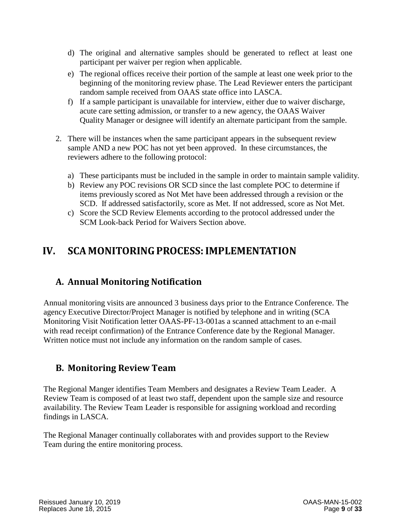- d) The original and alternative samples should be generated to reflect at least one participant per waiver per region when applicable.
- e) The regional offices receive their portion of the sample at least one week prior to the beginning of the monitoring review phase. The Lead Reviewer enters the participant random sample received from OAAS state office into LASCA.
- f) If a sample participant is unavailable for interview, either due to waiver discharge, acute care setting admission, or transfer to a new agency, the OAAS Waiver Quality Manager or designee will identify an alternate participant from the sample.
- 2. There will be instances when the same participant appears in the subsequent review sample AND a new POC has not yet been approved. In these circumstances, the reviewers adhere to the following protocol:
	- a) These participants must be included in the sample in order to maintain sample validity.
	- b) Review any POC revisions OR SCD since the last complete POC to determine if items previously scored as Not Met have been addressed through a revision or the SCD. If addressed satisfactorily, score as Met. If not addressed, score as Not Met.
	- c) Score the SCD Review Elements according to the protocol addressed under the SCM Look-back Period for Waivers Section above.

# <span id="page-12-0"></span>**IV. SCA MONITORINGPROCESS:IMPLEMENTATION**

### <span id="page-12-1"></span>**A. Annual Monitoring Notification**

Annual monitoring visits are announced 3 business days prior to the Entrance Conference. The agency Executive Director/Project Manager is notified by telephone and in writing (SCA Monitoring Visit Notification letter OAAS-PF-13-001as a scanned attachment to an e-mail with read receipt confirmation) of the Entrance Conference date by the Regional Manager. Written notice must not include any information on the random sample of cases.

#### <span id="page-12-2"></span>**B. Monitoring Review Team**

The Regional Manger identifies Team Members and designates a Review Team Leader. A Review Team is composed of at least two staff, dependent upon the sample size and resource availability. The Review Team Leader is responsible for assigning workload and recording findings in LASCA.

The Regional Manager continually collaborates with and provides support to the Review Team during the entire monitoring process.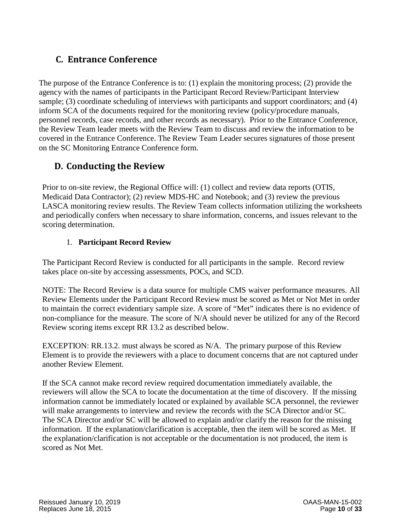### <span id="page-13-0"></span>**C. Entrance Conference**

The purpose of the Entrance Conference is to: (1) explain the monitoring process; (2) provide the agency with the names of participants in the Participant Record Review/Participant Interview sample; (3) coordinate scheduling of interviews with participants and support coordinators; and (4) inform SCA of the documents required for the monitoring review (policy/procedure manuals, personnel records, case records, and other records as necessary). Prior to the Entrance Conference, the Review Team leader meets with the Review Team to discuss and review the information to be covered in the Entrance Conference. The Review Team Leader secures signatures of those present on the SC Monitoring Entrance Conference form.

### <span id="page-13-1"></span>**D. Conducting the Review**

Prior to on-site review, the Regional Office will: (1) collect and review data reports (OTIS, Medicaid Data Contractor); (2) review MDS-HC and Notebook; and (3) review the previous LASCA monitoring review results. The Review Team collects information utilizing the worksheets and periodically confers when necessary to share information, concerns, and issues relevant to the scoring determination.

#### 1. **Participant Record Review**

<span id="page-13-2"></span>The Participant Record Review is conducted for all participants in the sample. Record review takes place on-site by accessing assessments, POCs, and SCD.

NOTE: The Record Review is a data source for multiple CMS waiver performance measures. All Review Elements under the Participant Record Review must be scored as Met or Not Met in order to maintain the correct evidentiary sample size. A score of "Met" indicates there is no evidence of non-compliance for the measure. The score of N/A should never be utilized for any of the Record Review scoring items except RR 13.2 as described below.

EXCEPTION: RR.13.2. must always be scored as N/A. The primary purpose of this Review Element is to provide the reviewers with a place to document concerns that are not captured under another Review Element.

If the SCA cannot make record review required documentation immediately available, the reviewers will allow the SCA to locate the documentation at the time of discovery. If the missing information cannot be immediately located or explained by available SCA personnel, the reviewer will make arrangements to interview and review the records with the SCA Director and/or SC. The SCA Director and/or SC will be allowed to explain and/or clarify the reason for the missing information. If the explanation/clarification is acceptable, then the item will be scored as Met. If the explanation/clarification is not acceptable or the documentation is not produced, the item is scored as Not Met.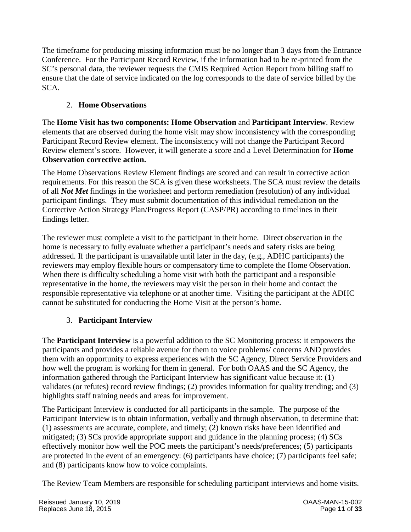The timeframe for producing missing information must be no longer than 3 days from the Entrance Conference. For the Participant Record Review, if the information had to be re-printed from the SC's personal data, the reviewer requests the CMIS Required Action Report from billing staff to ensure that the date of service indicated on the log corresponds to the date of service billed by the SCA.

#### <span id="page-14-0"></span>2. **Home Observations**

The **Home Visit has two components: Home Observation** and **Participant Interview**. Review elements that are observed during the home visit may show inconsistency with the corresponding Participant Record Review element. The inconsistency will not change the Participant Record Review element's score. However, it will generate a score and a Level Determination for **Home Observation corrective action.**

The Home Observations Review Element findings are scored and can result in corrective action requirements. For this reason the SCA is given these worksheets. The SCA must review the details of all *Not Met* findings in the worksheet and perform remediation (resolution) of any individual participant findings. They must submit documentation of this individual remediation on the Corrective Action Strategy Plan/Progress Report (CASP/PR) according to timelines in their findings letter.

The reviewer must complete a visit to the participant in their home. Direct observation in the home is necessary to fully evaluate whether a participant's needs and safety risks are being addressed. If the participant is unavailable until later in the day, (e.g., ADHC participants) the reviewers may employ flexible hours or compensatory time to complete the Home Observation. When there is difficulty scheduling a home visit with both the participant and a responsible representative in the home, the reviewers may visit the person in their home and contact the responsible representative via telephone or at another time. Visiting the participant at the ADHC cannot be substituted for conducting the Home Visit at the person's home.

#### 3. **Participant Interview**

<span id="page-14-1"></span>The **Participant Interview** is a powerful addition to the SC Monitoring process: it empowers the participants and provides a reliable avenue for them to voice problems/ concerns AND provides them with an opportunity to express experiences with the SC Agency, Direct Service Providers and how well the program is working for them in general. For both OAAS and the SC Agency, the information gathered through the Participant Interview has significant value because it: (1) validates (or refutes) record review findings; (2) provides information for quality trending; and (3) highlights staff training needs and areas for improvement.

The Participant Interview is conducted for all participants in the sample. The purpose of the Participant Interview is to obtain information, verbally and through observation, to determine that: (1) assessments are accurate, complete, and timely; (2) known risks have been identified and mitigated; (3) SCs provide appropriate support and guidance in the planning process; (4) SCs effectively monitor how well the POC meets the participant's needs/preferences; (5) participants are protected in the event of an emergency: (6) participants have choice; (7) participants feel safe; and (8) participants know how to voice complaints.

The Review Team Members are responsible for scheduling participant interviews and home visits.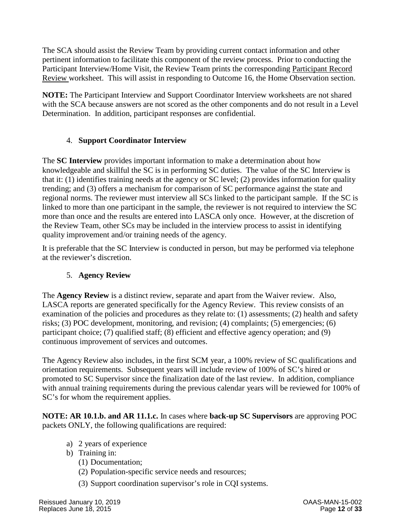The SCA should assist the Review Team by providing current contact information and other pertinent information to facilitate this component of the review process. Prior to conducting the Participant Interview/Home Visit, the Review Team prints the corresponding Participant Record Review worksheet. This will assist in responding to Outcome 16, the Home Observation section.

**NOTE:** The Participant Interview and Support Coordinator Interview worksheets are not shared with the SCA because answers are not scored as the other components and do not result in a Level Determination. In addition, participant responses are confidential.

#### 4. **Support Coordinator Interview**

<span id="page-15-0"></span>The **SC Interview** provides important information to make a determination about how knowledgeable and skillful the SC is in performing SC duties. The value of the SC Interview is that it: (1) identifies training needs at the agency or SC level; (2) provides information for quality trending; and (3) offers a mechanism for comparison of SC performance against the state and regional norms. The reviewer must interview all SCs linked to the participant sample. If the SC is linked to more than one participant in the sample, the reviewer is not required to interview the SC more than once and the results are entered into LASCA only once. However, at the discretion of the Review Team, other SCs may be included in the interview process to assist in identifying quality improvement and/or training needs of the agency.

It is preferable that the SC Interview is conducted in person, but may be performed via telephone at the reviewer's discretion.

#### 5. **Agency Review**

<span id="page-15-1"></span>The **Agency Review** is a distinct review, separate and apart from the Waiver review. Also, LASCA reports are generated specifically for the Agency Review. This review consists of an examination of the policies and procedures as they relate to: (1) assessments; (2) health and safety risks; (3) POC development, monitoring, and revision; (4) complaints; (5) emergencies; (6) participant choice; (7) qualified staff; (8) efficient and effective agency operation; and (9) continuous improvement of services and outcomes.

The Agency Review also includes, in the first SCM year, a 100% review of SC qualifications and orientation requirements. Subsequent years will include review of 100% of SC's hired or promoted to SC Supervisor since the finalization date of the last review. In addition, compliance with annual training requirements during the previous calendar years will be reviewed for 100% of SC's for whom the requirement applies.

**NOTE: AR 10.1.b. and AR 11.1.c.** In cases where **back-up SC Supervisors** are approving POC packets ONLY, the following qualifications are required:

- a) 2 years of experience
- b) Training in:
	- (1) Documentation;
	- (2) Population-specific service needs and resources;
	- (3) Support coordination supervisor's role in CQI systems.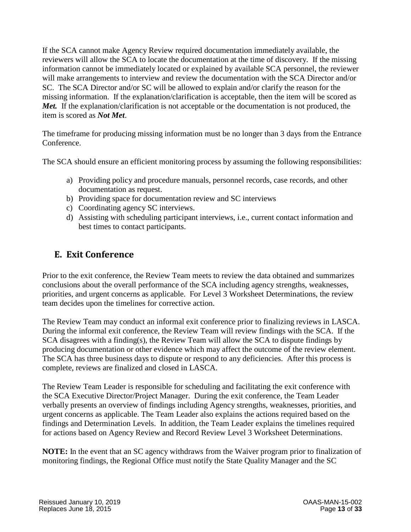If the SCA cannot make Agency Review required documentation immediately available, the reviewers will allow the SCA to locate the documentation at the time of discovery. If the missing information cannot be immediately located or explained by available SCA personnel, the reviewer will make arrangements to interview and review the documentation with the SCA Director and/or SC. The SCA Director and/or SC will be allowed to explain and/or clarify the reason for the missing information. If the explanation/clarification is acceptable, then the item will be scored as *Met.* If the explanation/clarification is not acceptable or the documentation is not produced, the item is scored as *Not Met*.

The timeframe for producing missing information must be no longer than 3 days from the Entrance Conference.

The SCA should ensure an efficient monitoring process by assuming the following responsibilities:

- a) Providing policy and procedure manuals, personnel records, case records, and other documentation as request.
- b) Providing space for documentation review and SC interviews
- c) Coordinating agency SC interviews.
- d) Assisting with scheduling participant interviews, i.e., current contact information and best times to contact participants.

# <span id="page-16-0"></span>**E. Exit Conference**

Prior to the exit conference, the Review Team meets to review the data obtained and summarizes conclusions about the overall performance of the SCA including agency strengths, weaknesses, priorities, and urgent concerns as applicable. For Level 3 Worksheet Determinations, the review team decides upon the timelines for corrective action.

The Review Team may conduct an informal exit conference prior to finalizing reviews in LASCA. During the informal exit conference, the Review Team will review findings with the SCA. If the SCA disagrees with a finding(s), the Review Team will allow the SCA to dispute findings by producing documentation or other evidence which may affect the outcome of the review element. The SCA has three business days to dispute or respond to any deficiencies. After this process is complete, reviews are finalized and closed in LASCA.

The Review Team Leader is responsible for scheduling and facilitating the exit conference with the SCA Executive Director/Project Manager. During the exit conference, the Team Leader verbally presents an overview of findings including Agency strengths, weaknesses, priorities, and urgent concerns as applicable. The Team Leader also explains the actions required based on the findings and Determination Levels. In addition, the Team Leader explains the timelines required for actions based on Agency Review and Record Review Level 3 Worksheet Determinations.

**NOTE:** In the event that an SC agency withdraws from the Waiver program prior to finalization of monitoring findings, the Regional Office must notify the State Quality Manager and the SC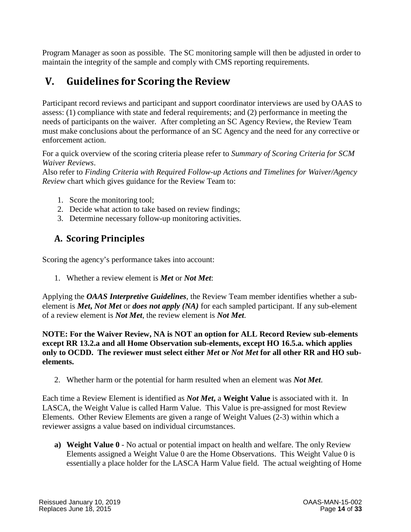Program Manager as soon as possible. The SC monitoring sample will then be adjusted in order to maintain the integrity of the sample and comply with CMS reporting requirements.

# <span id="page-17-0"></span>**V. Guidelines for Scoring the Review**

Participant record reviews and participant and support coordinator interviews are used by OAAS to assess: (1) compliance with state and federal requirements; and (2) performance in meeting the needs of participants on the waiver. After completing an SC Agency Review, the Review Team must make conclusions about the performance of an SC Agency and the need for any corrective or enforcement action.

For a quick overview of the scoring criteria please refer to *Summary of Scoring Criteria for SCM Waiver Reviews*.

Also refer to *Finding Criteria with Required Follow-up Actions and Timelines for Waiver/Agency Review* chart which gives guidance for the Review Team to:

- 1. Score the monitoring tool;
- 2. Decide what action to take based on review findings;
- 3. Determine necessary follow-up monitoring activities.

# <span id="page-17-1"></span>**A. Scoring Principles**

Scoring the agency's performance takes into account:

1. Whether a review element is *Met* or *Not Met*:

Applying the *OAAS Interpretive Guidelines*, the Review Team member identifies whether a subelement is *Met***,** *Not Met* or *does not apply (NA)* for each sampled participant. If any sub-element of a review element is *Not Met*, the review element is *Not Met*.

**NOTE: For the Waiver Review, NA is NOT an option for ALL Record Review sub-elements except RR 13.2.a and all Home Observation sub-elements, except HO 16.5.a. which applies only to OCDD. The reviewer must select either** *Met* **or** *Not Met* **for all other RR and HO subelements.**

2. Whether harm or the potential for harm resulted when an element was *Not Met*.

Each time a Review Element is identified as *Not Met***,** a **Weight Value** is associated with it. In LASCA, the Weight Value is called Harm Value. This Value is pre-assigned for most Review Elements. Other Review Elements are given a range of Weight Values (2-3) within which a reviewer assigns a value based on individual circumstances.

**a) Weight Value 0** - No actual or potential impact on health and welfare. The only Review Elements assigned a Weight Value 0 are the Home Observations. This Weight Value 0 is essentially a place holder for the LASCA Harm Value field. The actual weighting of Home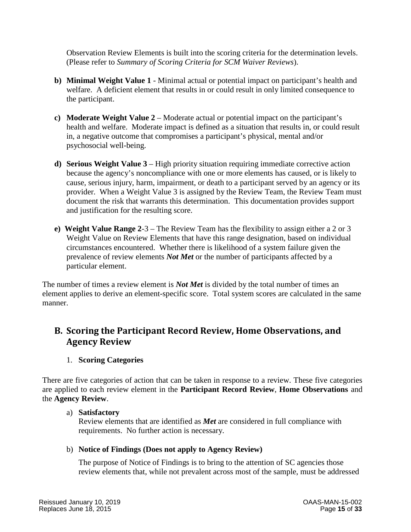Observation Review Elements is built into the scoring criteria for the determination levels. (Please refer to *Summary of Scoring Criteria for SCM Waiver Reviews*).

- **b) Minimal Weight Value 1**  Minimal actual or potential impact on participant's health and welfare. A deficient element that results in or could result in only limited consequence to the participant.
- **c) Moderate Weight Value 2**  Moderate actual or potential impact on the participant's health and welfare. Moderate impact is defined as a situation that results in, or could result in, a negative outcome that compromises a participant's physical, mental and/or psychosocial well-being.
- **d) Serious Weight Value 3**  High priority situation requiring immediate corrective action because the agency's noncompliance with one or more elements has caused, or is likely to cause, serious injury, harm, impairment, or death to a participant served by an agency or its provider. When a Weight Value 3 is assigned by the Review Team, the Review Team must document the risk that warrants this determination. This documentation provides support and justification for the resulting score.
- **e) Weight Value Range 2**-3 The Review Team has the flexibility to assign either a 2 or 3 Weight Value on Review Elements that have this range designation, based on individual circumstances encountered. Whether there is likelihood of a system failure given the prevalence of review elements *Not Met* or the number of participants affected by a particular element.

The number of times a review element is *Not Met* is divided by the total number of times an element applies to derive an element-specific score. Total system scores are calculated in the same manner.

### <span id="page-18-0"></span>**B. Scoring the Participant Record Review, Home Observations, and Agency Review**

#### 1. **Scoring Categories**

<span id="page-18-1"></span>There are five categories of action that can be taken in response to a review. These five categories are applied to each review element in the **Participant Record Review**, **Home Observations** and the **Agency Review**.

#### a) **Satisfactory**

Review elements that are identified as *Met* are considered in full compliance with requirements. No further action is necessary.

#### b) **Notice of Findings (Does not apply to Agency Review)**

The purpose of Notice of Findings is to bring to the attention of SC agencies those review elements that, while not prevalent across most of the sample, must be addressed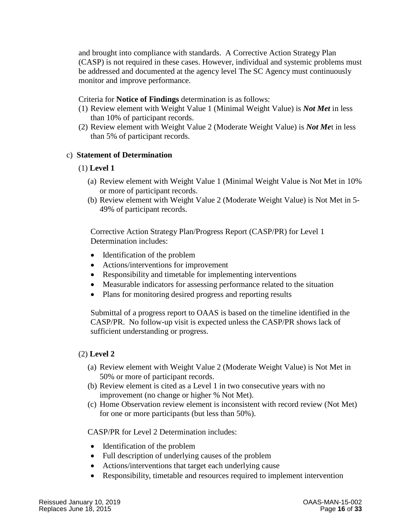and brought into compliance with standards. A Corrective Action Strategy Plan (CASP) is not required in these cases. However, individual and systemic problems must be addressed and documented at the agency level The SC Agency must continuously monitor and improve performance.

#### Criteria for **Notice of Findings** determination is as follows:

- (1) Review element with Weight Value 1 (Minimal Weight Value) is *Not Met* in less than 10% of participant records.
- (2) Review element with Weight Value 2 (Moderate Weight Value) is *Not Me*t in less than 5% of participant records.

#### c) **Statement of Determination**

#### (1) **Level 1**

- (a) Review element with Weight Value 1 (Minimal Weight Value is Not Met in 10% or more of participant records.
- (b) Review element with Weight Value 2 (Moderate Weight Value) is Not Met in 5- 49% of participant records.

Corrective Action Strategy Plan/Progress Report (CASP/PR) for Level 1 Determination includes:

- Identification of the problem
- Actions/interventions for improvement
- Responsibility and timetable for implementing interventions
- Measurable indicators for assessing performance related to the situation
- Plans for monitoring desired progress and reporting results

Submittal of a progress report to OAAS is based on the timeline identified in the CASP/PR. No follow-up visit is expected unless the CASP/PR shows lack of sufficient understanding or progress.

#### (2) **Level 2**

- (a) Review element with Weight Value 2 (Moderate Weight Value) is Not Met in 50% or more of participant records.
- (b) Review element is cited as a Level 1 in two consecutive years with no improvement (no change or higher % Not Met).
- (c) Home Observation review element is inconsistent with record review (Not Met) for one or more participants (but less than 50%).

CASP/PR for Level 2 Determination includes:

- Identification of the problem
- Full description of underlying causes of the problem
- Actions/interventions that target each underlying cause
- Responsibility, timetable and resources required to implement intervention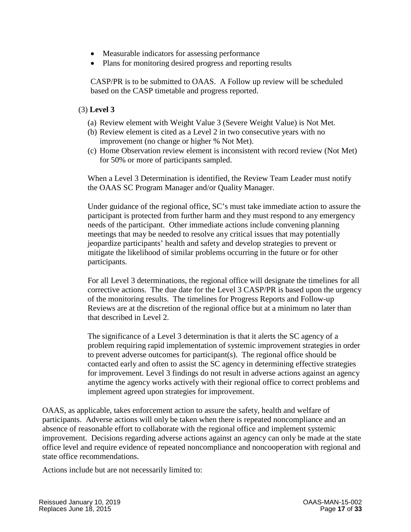- Measurable indicators for assessing performance
- Plans for monitoring desired progress and reporting results

CASP/PR is to be submitted to OAAS. A Follow up review will be scheduled based on the CASP timetable and progress reported.

#### (3) **Level 3**

- (a) Review element with Weight Value 3 (Severe Weight Value) is Not Met.
- (b) Review element is cited as a Level 2 in two consecutive years with no improvement (no change or higher % Not Met).
- (c) Home Observation review element is inconsistent with record review (Not Met) for 50% or more of participants sampled.

When a Level 3 Determination is identified, the Review Team Leader must notify the OAAS SC Program Manager and/or Quality Manager.

Under guidance of the regional office, SC's must take immediate action to assure the participant is protected from further harm and they must respond to any emergency needs of the participant. Other immediate actions include convening planning meetings that may be needed to resolve any critical issues that may potentially jeopardize participants' health and safety and develop strategies to prevent or mitigate the likelihood of similar problems occurring in the future or for other participants.

For all Level 3 determinations, the regional office will designate the timelines for all corrective actions. The due date for the Level 3 CASP/PR is based upon the urgency of the monitoring results. The timelines for Progress Reports and Follow-up Reviews are at the discretion of the regional office but at a minimum no later than that described in Level 2.

The significance of a Level 3 determination is that it alerts the SC agency of a problem requiring rapid implementation of systemic improvement strategies in order to prevent adverse outcomes for participant(s). The regional office should be contacted early and often to assist the SC agency in determining effective strategies for improvement. Level 3 findings do not result in adverse actions against an agency anytime the agency works actively with their regional office to correct problems and implement agreed upon strategies for improvement.

OAAS, as applicable, takes enforcement action to assure the safety, health and welfare of participants. Adverse actions will only be taken when there is repeated noncompliance and an absence of reasonable effort to collaborate with the regional office and implement systemic improvement. Decisions regarding adverse actions against an agency can only be made at the state office level and require evidence of repeated noncompliance and noncooperation with regional and state office recommendations.

Actions include but are not necessarily limited to: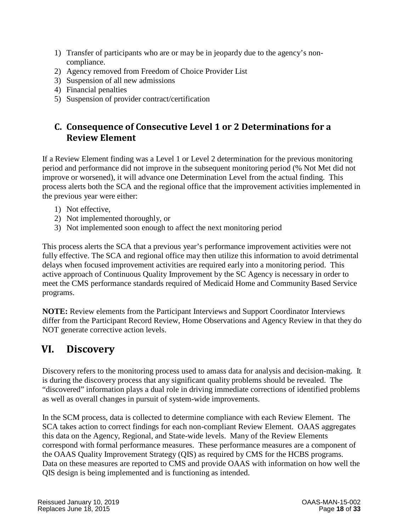- 1) Transfer of participants who are or may be in jeopardy due to the agency's noncompliance.
- 2) Agency removed from Freedom of Choice Provider List
- 3) Suspension of all new admissions
- 4) Financial penalties
- 5) Suspension of provider contract/certification

### <span id="page-21-0"></span>**C. Consequence of Consecutive Level 1 or 2 Determinations for a Review Element**

If a Review Element finding was a Level 1 or Level 2 determination for the previous monitoring period and performance did not improve in the subsequent monitoring period (% Not Met did not improve or worsened), it will advance one Determination Level from the actual finding. This process alerts both the SCA and the regional office that the improvement activities implemented in the previous year were either:

- 1) Not effective,
- 2) Not implemented thoroughly, or
- 3) Not implemented soon enough to affect the next monitoring period

This process alerts the SCA that a previous year's performance improvement activities were not fully effective. The SCA and regional office may then utilize this information to avoid detrimental delays when focused improvement activities are required early into a monitoring period. This active approach of Continuous Quality Improvement by the SC Agency is necessary in order to meet the CMS performance standards required of Medicaid Home and Community Based Service programs.

**NOTE:** Review elements from the Participant Interviews and Support Coordinator Interviews differ from the Participant Record Review, Home Observations and Agency Review in that they do NOT generate corrective action levels.

# <span id="page-21-1"></span>**VI. Discovery**

Discovery refers to the monitoring process used to amass data for analysis and decision-making. It is during the discovery process that any significant quality problems should be revealed. The "discovered" information plays a dual role in driving immediate corrections of identified problems as well as overall changes in pursuit of system-wide improvements.

In the SCM process, data is collected to determine compliance with each Review Element. The SCA takes action to correct findings for each non-compliant Review Element. OAAS aggregates this data on the Agency, Regional, and State-wide levels. Many of the Review Elements correspond with formal performance measures. These performance measures are a component of the OAAS Quality Improvement Strategy (QIS) as required by CMS for the HCBS programs. Data on these measures are reported to CMS and provide OAAS with information on how well the QIS design is being implemented and is functioning as intended.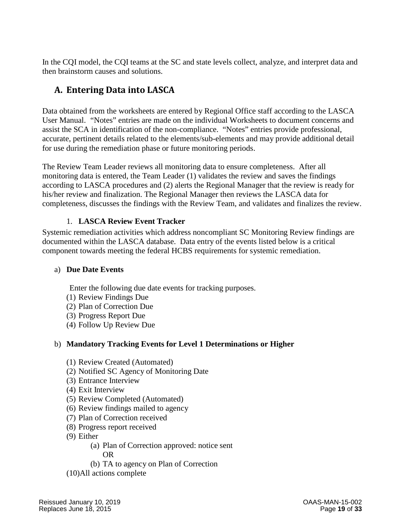In the CQI model, the CQI teams at the SC and state levels collect, analyze, and interpret data and then brainstorm causes and solutions.

# <span id="page-22-0"></span>**A. Entering Data into LASCA**

Data obtained from the worksheets are entered by Regional Office staff according to the LASCA User Manual. "Notes" entries are made on the individual Worksheets to document concerns and assist the SCA in identification of the non-compliance. "Notes" entries provide professional, accurate, pertinent details related to the elements/sub-elements and may provide additional detail for use during the remediation phase or future monitoring periods.

The Review Team Leader reviews all monitoring data to ensure completeness. After all monitoring data is entered, the Team Leader (1) validates the review and saves the findings according to LASCA procedures and (2) alerts the Regional Manager that the review is ready for his/her review and finalization. The Regional Manager then reviews the LASCA data for completeness, discusses the findings with the Review Team, and validates and finalizes the review.

#### 1. **LASCA Review Event Tracker**

<span id="page-22-1"></span>Systemic remediation activities which address noncompliant SC Monitoring Review findings are documented within the LASCA database. Data entry of the events listed below is a critical component towards meeting the federal HCBS requirements for systemic remediation.

#### <span id="page-22-2"></span>a) **Due Date Events**

Enter the following due date events for tracking purposes.

- (1) Review Findings Due
- (2) Plan of Correction Due
- (3) Progress Report Due
- (4) Follow Up Review Due

#### <span id="page-22-3"></span>b) **Mandatory Tracking Events for Level 1 Determinations or Higher**

- (1) Review Created (Automated)
- (2) Notified SC Agency of Monitoring Date
- (3) Entrance Interview
- (4) Exit Interview
- (5) Review Completed (Automated)
- (6) Review findings mailed to agency
- (7) Plan of Correction received
- (8) Progress report received
- (9) Either
	- (a) Plan of Correction approved: notice sent OR
	- (b) TA to agency on Plan of Correction
- (10)All actions complete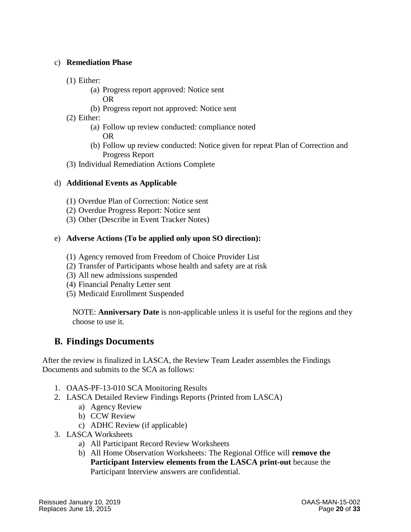#### <span id="page-23-0"></span>c) **Remediation Phase**

- (1) Either:
	- (a) Progress report approved: Notice sent OR
	- (b) Progress report not approved: Notice sent
- (2) Either:
	- (a) Follow up review conducted: compliance noted OR
	- (b) Follow up review conducted: Notice given for repeat Plan of Correction and Progress Report
- (3) Individual Remediation Actions Complete

#### <span id="page-23-1"></span>d) **Additional Events as Applicable**

- (1) Overdue Plan of Correction: Notice sent
- (2) Overdue Progress Report: Notice sent
- (3) Other (Describe in Event Tracker Notes)

#### <span id="page-23-2"></span>e) **Adverse Actions (To be applied only upon SO direction):**

- (1) Agency removed from Freedom of Choice Provider List
- (2) Transfer of Participants whose health and safety are at risk
- (3) All new admissions suspended
- (4) Financial Penalty Letter sent
- (5) Medicaid Enrollment Suspended

NOTE: **Anniversary Date** is non-applicable unless it is useful for the regions and they choose to use it.

#### <span id="page-23-3"></span>**B. Findings Documents**

After the review is finalized in LASCA, the Review Team Leader assembles the Findings Documents and submits to the SCA as follows:

- 1. OAAS-PF-13-010 SCA Monitoring Results
- 2. LASCA Detailed Review Findings Reports (Printed from LASCA)
	- a) Agency Review
	- b) CCW Review
	- c) ADHC Review (if applicable)
- 3. LASCA Worksheets
	- a) All Participant Record Review Worksheets
	- b) All Home Observation Worksheets: The Regional Office will **remove the Participant Interview elements from the LASCA print-out** because the Participant Interview answers are confidential.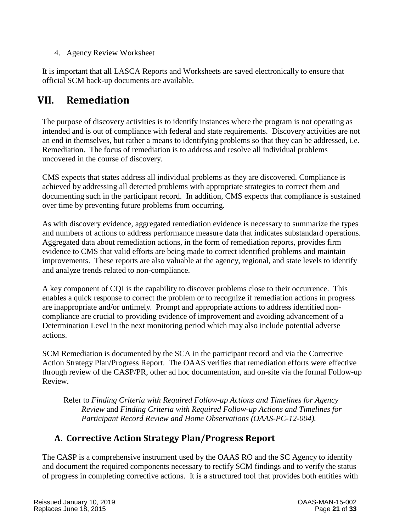4. Agency Review Worksheet

It is important that all LASCA Reports and Worksheets are saved electronically to ensure that official SCM back-up documents are available.

# <span id="page-24-0"></span>**VII. Remediation**

The purpose of discovery activities is to identify instances where the program is not operating as intended and is out of compliance with federal and state requirements. Discovery activities are not an end in themselves, but rather a means to identifying problems so that they can be addressed, i.e. Remediation. The focus of remediation is to address and resolve all individual problems uncovered in the course of discovery.

CMS expects that states address all individual problems as they are discovered. Compliance is achieved by addressing all detected problems with appropriate strategies to correct them and documenting such in the participant record. In addition, CMS expects that compliance is sustained over time by preventing future problems from occurring.

As with discovery evidence, aggregated remediation evidence is necessary to summarize the types and numbers of actions to address performance measure data that indicates substandard operations. Aggregated data about remediation actions, in the form of remediation reports, provides firm evidence to CMS that valid efforts are being made to correct identified problems and maintain improvements. These reports are also valuable at the agency, regional, and state levels to identify and analyze trends related to non-compliance.

A key component of CQI is the capability to discover problems close to their occurrence. This enables a quick response to correct the problem or to recognize if remediation actions in progress are inappropriate and/or untimely. Prompt and appropriate actions to address identified noncompliance are crucial to providing evidence of improvement and avoiding advancement of a Determination Level in the next monitoring period which may also include potential adverse actions.

SCM Remediation is documented by the SCA in the participant record and via the Corrective Action Strategy Plan/Progress Report. The OAAS verifies that remediation efforts were effective through review of the CASP/PR, other ad hoc documentation, and on-site via the formal Follow-up Review.

Refer to *Finding Criteria with Required Follow-up Actions and Timelines for Agency Review* and *Finding Criteria with Required Follow-up Actions and Timelines for Participant Record Review and Home Observations (OAAS-PC-12-004).*

# <span id="page-24-1"></span>**A. Corrective Action Strategy Plan/Progress Report**

The CASP is a comprehensive instrument used by the OAAS RO and the SC Agency to identify and document the required components necessary to rectify SCM findings and to verify the status of progress in completing corrective actions. It is a structured tool that provides both entities with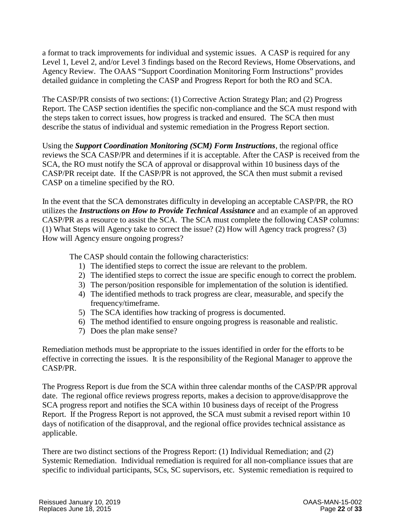a format to track improvements for individual and systemic issues. A CASP is required for any Level 1, Level 2, and/or Level 3 findings based on the Record Reviews, Home Observations, and Agency Review. The OAAS "Support Coordination Monitoring Form Instructions" provides detailed guidance in completing the CASP and Progress Report for both the RO and SCA.

The CASP/PR consists of two sections: (1) Corrective Action Strategy Plan; and (2) Progress Report. The CASP section identifies the specific non-compliance and the SCA must respond with the steps taken to correct issues, how progress is tracked and ensured. The SCA then must describe the status of individual and systemic remediation in the Progress Report section.

Using the *Support Coordination Monitoring (SCM) Form Instructions*, the regional office reviews the SCA CASP/PR and determines if it is acceptable. After the CASP is received from the SCA, the RO must notify the SCA of approval or disapproval within 10 business days of the CASP/PR receipt date. If the CASP/PR is not approved, the SCA then must submit a revised CASP on a timeline specified by the RO.

In the event that the SCA demonstrates difficulty in developing an acceptable CASP/PR, the RO utilizes the *Instructions on How to Provide Technical Assistance* and an example of an approved CASP/PR as a resource to assist the SCA. The SCA must complete the following CASP columns: (1) What Steps will Agency take to correct the issue? (2) How will Agency track progress? (3) How will Agency ensure ongoing progress?

The CASP should contain the following characteristics:

- 1) The identified steps to correct the issue are relevant to the problem.
- 2) The identified steps to correct the issue are specific enough to correct the problem.
- 3) The person/position responsible for implementation of the solution is identified.
- 4) The identified methods to track progress are clear, measurable, and specify the frequency/timeframe.
- 5) The SCA identifies how tracking of progress is documented.
- 6) The method identified to ensure ongoing progress is reasonable and realistic.
- 7) Does the plan make sense?

Remediation methods must be appropriate to the issues identified in order for the efforts to be effective in correcting the issues. It is the responsibility of the Regional Manager to approve the CASP/PR.

The Progress Report is due from the SCA within three calendar months of the CASP/PR approval date. The regional office reviews progress reports, makes a decision to approve/disapprove the SCA progress report and notifies the SCA within 10 business days of receipt of the Progress Report. If the Progress Report is not approved, the SCA must submit a revised report within 10 days of notification of the disapproval, and the regional office provides technical assistance as applicable.

There are two distinct sections of the Progress Report: (1) Individual Remediation; and (2) Systemic Remediation. Individual remediation is required for all non-compliance issues that are specific to individual participants, SCs, SC supervisors, etc. Systemic remediation is required to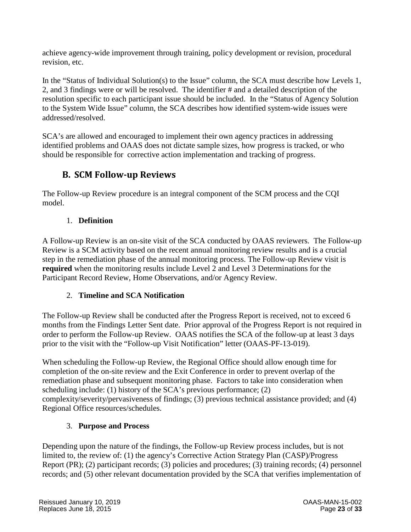achieve agency-wide improvement through training, policy development or revision, procedural revision, etc.

In the "Status of Individual Solution(s) to the Issue" column, the SCA must describe how Levels 1, 2, and 3 findings were or will be resolved. The identifier # and a detailed description of the resolution specific to each participant issue should be included. In the "Status of Agency Solution to the System Wide Issue" column, the SCA describes how identified system-wide issues were addressed/resolved.

SCA's are allowed and encouraged to implement their own agency practices in addressing identified problems and OAAS does not dictate sample sizes, how progress is tracked, or who should be responsible for corrective action implementation and tracking of progress.

# **B. SCM Follow-up Reviews**

<span id="page-26-0"></span>The Follow-up Review procedure is an integral component of the SCM process and the CQI model.

#### 1. **Definition**

<span id="page-26-1"></span>A Follow-up Review is an on-site visit of the SCA conducted by OAAS reviewers. The Follow-up Review is a SCM activity based on the recent annual monitoring review results and is a crucial step in the remediation phase of the annual monitoring process. The Follow-up Review visit is **required** when the monitoring results include Level 2 and Level 3 Determinations for the Participant Record Review, Home Observations, and/or Agency Review.

#### 2. **Timeline and SCA Notification**

<span id="page-26-2"></span>The Follow-up Review shall be conducted after the Progress Report is received, not to exceed 6 months from the Findings Letter Sent date. Prior approval of the Progress Report is not required in order to perform the Follow-up Review. OAAS notifies the SCA of the follow-up at least 3 days prior to the visit with the "Follow-up Visit Notification" letter (OAAS-PF-13-019).

When scheduling the Follow-up Review, the Regional Office should allow enough time for completion of the on-site review and the Exit Conference in order to prevent overlap of the remediation phase and subsequent monitoring phase. Factors to take into consideration when scheduling include: (1) history of the SCA's previous performance; (2) complexity/severity/pervasiveness of findings; (3) previous technical assistance provided; and (4) Regional Office resources/schedules.

#### 3. **Purpose and Process**

<span id="page-26-3"></span>Depending upon the nature of the findings, the Follow-up Review process includes, but is not limited to, the review of: (1) the agency's Corrective Action Strategy Plan (CASP)/Progress Report (PR); (2) participant records; (3) policies and procedures; (3) training records; (4) personnel records; and (5) other relevant documentation provided by the SCA that verifies implementation of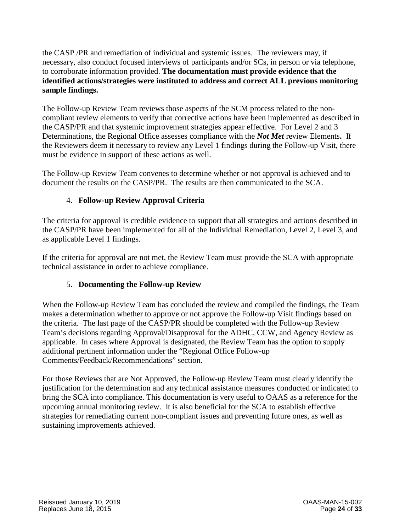the CASP /PR and remediation of individual and systemic issues. The reviewers may, if necessary, also conduct focused interviews of participants and/or SCs, in person or via telephone, to corroborate information provided. **The documentation must provide evidence that the identified actions/strategies were instituted to address and correct ALL previous monitoring sample findings.**

The Follow-up Review Team reviews those aspects of the SCM process related to the noncompliant review elements to verify that corrective actions have been implemented as described in the CASP/PR and that systemic improvement strategies appear effective. For Level 2 and 3 Determinations, the Regional Office assesses compliance with the *Not Met* review Elements**.** If the Reviewers deem it necessary to review any Level 1 findings during the Follow-up Visit, there must be evidence in support of these actions as well.

The Follow-up Review Team convenes to determine whether or not approval is achieved and to document the results on the CASP/PR. The results are then communicated to the SCA.

#### 4. **Follow-up Review Approval Criteria**

<span id="page-27-0"></span>The criteria for approval is credible evidence to support that all strategies and actions described in the CASP/PR have been implemented for all of the Individual Remediation, Level 2, Level 3, and as applicable Level 1 findings.

If the criteria for approval are not met, the Review Team must provide the SCA with appropriate technical assistance in order to achieve compliance.

#### 5. **Documenting the Follow-up Review**

<span id="page-27-1"></span>When the Follow-up Review Team has concluded the review and compiled the findings, the Team makes a determination whether to approve or not approve the Follow-up Visit findings based on the criteria. The last page of the CASP/PR should be completed with the Follow-up Review Team's decisions regarding Approval/Disapproval for the ADHC, CCW, and Agency Review as applicable. In cases where Approval is designated, the Review Team has the option to supply additional pertinent information under the "Regional Office Follow-up Comments/Feedback/Recommendations" section.

For those Reviews that are Not Approved, the Follow-up Review Team must clearly identify the justification for the determination and any technical assistance measures conducted or indicated to bring the SCA into compliance. This documentation is very useful to OAAS as a reference for the upcoming annual monitoring review. It is also beneficial for the SCA to establish effective strategies for remediating current non-compliant issues and preventing future ones, as well as sustaining improvements achieved.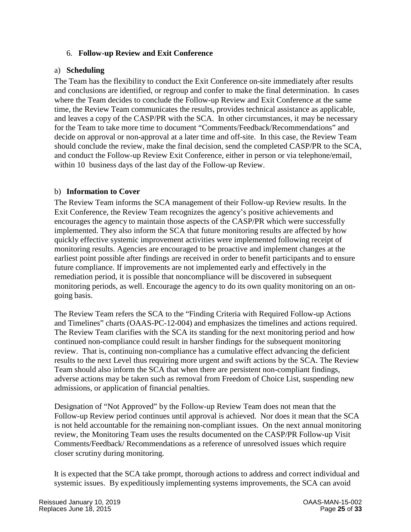#### 6. **Follow-up Review and Exit Conference**

#### <span id="page-28-1"></span><span id="page-28-0"></span>a) **Scheduling**

The Team has the flexibility to conduct the Exit Conference on-site immediately after results and conclusions are identified, or regroup and confer to make the final determination. In cases where the Team decides to conclude the Follow-up Review and Exit Conference at the same time, the Review Team communicates the results, provides technical assistance as applicable, and leaves a copy of the CASP/PR with the SCA. In other circumstances, it may be necessary for the Team to take more time to document "Comments/Feedback/Recommendations" and decide on approval or non-approval at a later time and off-site. In this case, the Review Team should conclude the review, make the final decision, send the completed CASP/PR to the SCA, and conduct the Follow-up Review Exit Conference, either in person or via telephone/email, within 10 business days of the last day of the Follow-up Review.

#### <span id="page-28-2"></span>b) **Information to Cover**

The Review Team informs the SCA management of their Follow-up Review results. In the Exit Conference, the Review Team recognizes the agency's positive achievements and encourages the agency to maintain those aspects of the CASP/PR which were successfully implemented. They also inform the SCA that future monitoring results are affected by how quickly effective systemic improvement activities were implemented following receipt of monitoring results. Agencies are encouraged to be proactive and implement changes at the earliest point possible after findings are received in order to benefit participants and to ensure future compliance. If improvements are not implemented early and effectively in the remediation period, it is possible that noncompliance will be discovered in subsequent monitoring periods, as well. Encourage the agency to do its own quality monitoring on an ongoing basis.

The Review Team refers the SCA to the "Finding Criteria with Required Follow-up Actions and Timelines" charts (OAAS-PC-12-004) and emphasizes the timelines and actions required. The Review Team clarifies with the SCA its standing for the next monitoring period and how continued non-compliance could result in harsher findings for the subsequent monitoring review. That is, continuing non-compliance has a cumulative effect advancing the deficient results to the next Level thus requiring more urgent and swift actions by the SCA. The Review Team should also inform the SCA that when there are persistent non-compliant findings, adverse actions may be taken such as removal from Freedom of Choice List, suspending new admissions, or application of financial penalties.

Designation of "Not Approved" by the Follow-up Review Team does not mean that the Follow-up Review period continues until approval is achieved. Nor does it mean that the SCA is not held accountable for the remaining non-compliant issues. On the next annual monitoring review, the Monitoring Team uses the results documented on the CASP/PR Follow-up Visit Comments/Feedback/ Recommendations as a reference of unresolved issues which require closer scrutiny during monitoring.

It is expected that the SCA take prompt, thorough actions to address and correct individual and systemic issues. By expeditiously implementing systems improvements, the SCA can avoid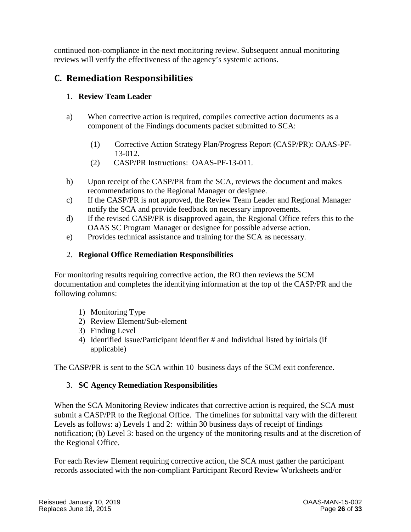continued non-compliance in the next monitoring review. Subsequent annual monitoring reviews will verify the effectiveness of the agency's systemic actions.

### <span id="page-29-1"></span><span id="page-29-0"></span>**C. Remediation Responsibilities**

#### 1. **Review Team Leader**

- a) When corrective action is required, compiles corrective action documents as a component of the Findings documents packet submitted to SCA:
	- (1) Corrective Action Strategy Plan/Progress Report (CASP/PR): OAAS-PF-13-012.
	- (2) CASP/PR Instructions: OAAS-PF-13-011.
- b) Upon receipt of the CASP/PR from the SCA, reviews the document and makes recommendations to the Regional Manager or designee.
- c) If the CASP/PR is not approved, the Review Team Leader and Regional Manager notify the SCA and provide feedback on necessary improvements.
- d) If the revised CASP/PR is disapproved again, the Regional Office refers this to the OAAS SC Program Manager or designee for possible adverse action.
- e) Provides technical assistance and training for the SCA as necessary.

#### 2. **Regional Office Remediation Responsibilities**

<span id="page-29-2"></span>For monitoring results requiring corrective action, the RO then reviews the SCM documentation and completes the identifying information at the top of the CASP/PR and the following columns:

- 1) Monitoring Type
- 2) Review Element/Sub-element
- 3) Finding Level
- 4) Identified Issue/Participant Identifier # and Individual listed by initials (if applicable)

<span id="page-29-3"></span>The CASP/PR is sent to the SCA within 10 business days of the SCM exit conference.

#### 3. **SC Agency Remediation Responsibilities**

When the SCA Monitoring Review indicates that corrective action is required, the SCA must submit a CASP/PR to the Regional Office. The timelines for submittal vary with the different Levels as follows: a) Levels 1 and 2: within 30 business days of receipt of findings notification; (b) Level 3: based on the urgency of the monitoring results and at the discretion of the Regional Office.

For each Review Element requiring corrective action, the SCA must gather the participant records associated with the non-compliant Participant Record Review Worksheets and/or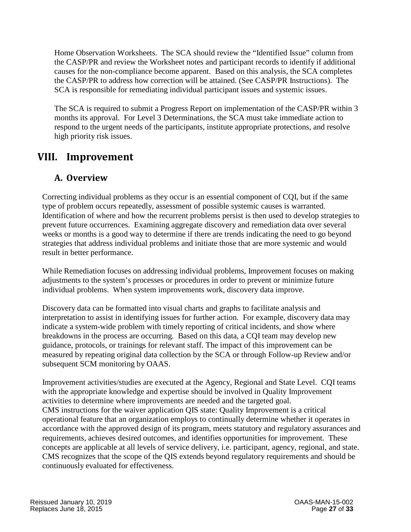Home Observation Worksheets. The SCA should review the "Identified Issue" column from the CASP/PR and review the Worksheet notes and participant records to identify if additional causes for the non-compliance become apparent. Based on this analysis, the SCA completes the CASP/PR to address how correction will be attained. (See CASP/PR Instructions). The SCA is responsible for remediating individual participant issues and systemic issues.

The SCA is required to submit a Progress Report on implementation of the CASP/PR within 3 months its approval. For Level 3 Determinations, the SCA must take immediate action to respond to the urgent needs of the participants, institute appropriate protections, and resolve high priority risk issues.

# <span id="page-30-1"></span><span id="page-30-0"></span>**VIII. Improvement**

# **A. Overview**

Correcting individual problems as they occur is an essential component of CQI, but if the same type of problem occurs repeatedly, assessment of possible systemic causes is warranted. Identification of where and how the recurrent problems persist is then used to develop strategies to prevent future occurrences. Examining aggregate discovery and remediation data over several weeks or months is a good way to determine if there are trends indicating the need to go beyond strategies that address individual problems and initiate those that are more systemic and would result in better performance.

While Remediation focuses on addressing individual problems, Improvement focuses on making adjustments to the system's processes or procedures in order to prevent or minimize future individual problems. When system improvements work, discovery data improve.

Discovery data can be formatted into visual charts and graphs to facilitate analysis and interpretation to assist in identifying issues for further action. For example, discovery data may indicate a system-wide problem with timely reporting of critical incidents, and show where breakdowns in the process are occurring. Based on this data, a CQI team may develop new guidance, protocols, or trainings for relevant staff. The impact of this improvement can be measured by repeating original data collection by the SCA or through Follow-up Review and/or subsequent SCM monitoring by OAAS.

Improvement activities/studies are executed at the Agency, Regional and State Level. CQI teams with the appropriate knowledge and expertise should be involved in Quality Improvement activities to determine where improvements are needed and the targeted goal. CMS instructions for the waiver application QIS state: Quality Improvement is a critical operational feature that an organization employs to continually determine whether it operates in accordance with the approved design of its program, meets statutory and regulatory assurances and requirements, achieves desired outcomes, and identifies opportunities for improvement. These concepts are applicable at all levels of service delivery, i.e. participant, agency, regional, and state. CMS recognizes that the scope of the QIS extends beyond regulatory requirements and should be continuously evaluated for effectiveness.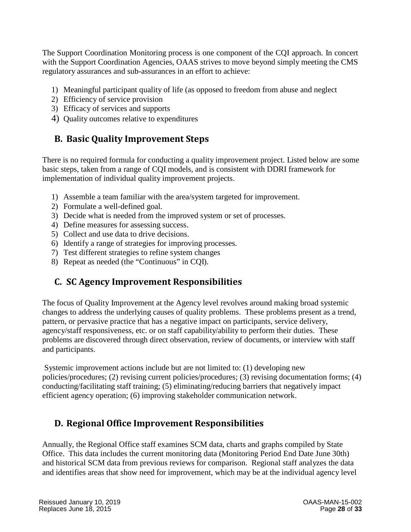The Support Coordination Monitoring process is one component of the CQI approach. In concert with the Support Coordination Agencies, OAAS strives to move beyond simply meeting the CMS regulatory assurances and sub-assurances in an effort to achieve:

- 1) Meaningful participant quality of life (as opposed to freedom from abuse and neglect
- 2) Efficiency of service provision
- 3) Efficacy of services and supports
- 4) Quality outcomes relative to expenditures

# <span id="page-31-0"></span>**B. Basic Quality Improvement Steps**

There is no required formula for conducting a quality improvement project. Listed below are some basic steps, taken from a range of CQI models, and is consistent with DDRI framework for implementation of individual quality improvement projects.

- 1) Assemble a team familiar with the area/system targeted for improvement.
- 2) Formulate a well-defined goal.
- 3) Decide what is needed from the improved system or set of processes.
- 4) Define measures for assessing success.
- 5) Collect and use data to drive decisions.
- 6) Identify a range of strategies for improving processes.
- 7) Test different strategies to refine system changes
- 8) Repeat as needed (the "Continuous" in CQI).

# <span id="page-31-1"></span>**C. SC Agency Improvement Responsibilities**

The focus of Quality Improvement at the Agency level revolves around making broad systemic changes to address the underlying causes of quality problems. These problems present as a trend, pattern, or pervasive practice that has a negative impact on participants, service delivery, agency/staff responsiveness, etc. or on staff capability/ability to perform their duties. These problems are discovered through direct observation, review of documents, or interview with staff and participants.

Systemic improvement actions include but are not limited to: (1) developing new policies/procedures; (2) revising current policies/procedures; (3) revising documentation forms; (4) conducting/facilitating staff training; (5) eliminating/reducing barriers that negatively impact efficient agency operation; (6) improving stakeholder communication network.

# <span id="page-31-2"></span>**D. Regional Office Improvement Responsibilities**

Annually, the Regional Office staff examines SCM data, charts and graphs compiled by State Office. This data includes the current monitoring data (Monitoring Period End Date June 30th) and historical SCM data from previous reviews for comparison. Regional staff analyzes the data and identifies areas that show need for improvement, which may be at the individual agency level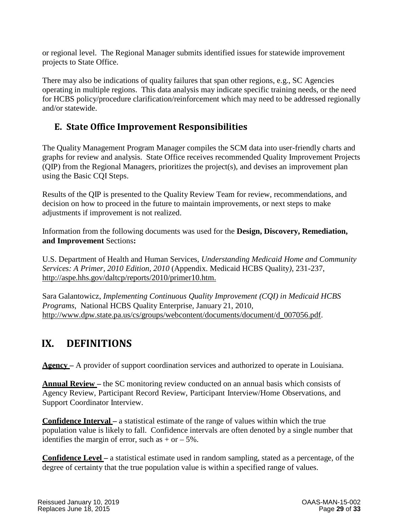or regional level. The Regional Manager submits identified issues for statewide improvement projects to State Office.

There may also be indications of quality failures that span other regions, e.g., SC Agencies operating in multiple regions. This data analysis may indicate specific training needs, or the need for HCBS policy/procedure clarification/reinforcement which may need to be addressed regionally and/or statewide.

# <span id="page-32-0"></span>**E. State Office Improvement Responsibilities**

The Quality Management Program Manager compiles the SCM data into user-friendly charts and graphs for review and analysis. State Office receives recommended Quality Improvement Projects (QIP) from the Regional Managers, prioritizes the project(s), and devises an improvement plan using the Basic CQI Steps.

Results of the QIP is presented to the Quality Review Team for review, recommendations, and decision on how to proceed in the future to maintain improvements, or next steps to make adjustments if improvement is not realized.

Information from the following documents was used for the **Design, Discovery, Remediation, and Improvement** Sections**:**

U.S. Department of Health and Human Services, *Understanding Medicaid Home and Community Services: A Primer, 2010 Edition, 2010* (Appendix. Medicaid HCBS Quality*)*, 231-237, [http://aspe.hhs.gov/daltcp/reports/2010/primer10.htm.](http://aspe.hhs.gov/daltcp/reports/2010/primer10.htm)

Sara Galantowicz, *Implementing Continuous Quality Improvement (CQI) in Medicaid HCBS Programs*, National HCBS Quality Enterprise, January 21, 2010, [http://www.dpw.state.pa.us/cs/groups/webcontent/documents/document/d\\_007056.pdf.](http://www.dpw.state.pa.us/cs/groups/webcontent/documents/document/d_007056.pdf)

# <span id="page-32-1"></span>**IX. DEFINITIONS**

**Agency –** A provider of support coordination services and authorized to operate in Louisiana.

**Annual Review** – the SC monitoring review conducted on an annual basis which consists of Agency Review, Participant Record Review, Participant Interview/Home Observations, and Support Coordinator Interview.

**Confidence Interval –** a statistical estimate of the range of values within which the true population value is likely to fall. Confidence intervals are often denoted by a single number that identifies the margin of error, such as  $+$  or  $-$  5%.

**Confidence Level –** a statistical estimate used in random sampling, stated as a percentage, of the degree of certainty that the true population value is within a specified range of values.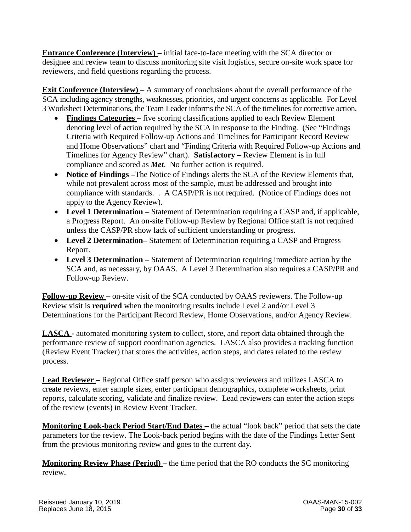**Entrance Conference (Interview)** – initial face-to-face meeting with the SCA director or designee and review team to discuss monitoring site visit logistics, secure on-site work space for reviewers, and field questions regarding the process.

**Exit Conference (Interview)** – A summary of conclusions about the overall performance of the SCA including agency strengths, weaknesses, priorities, and urgent concerns as applicable. For Level 3 Worksheet Determinations, the Team Leader informs the SCA of the timelines for corrective action.

- **Findings Categories –** five scoring classifications applied to each Review Element denoting level of action required by the SCA in response to the Finding. (See "Findings Criteria with Required Follow-up Actions and Timelines for Participant Record Review and Home Observations" chart and "Finding Criteria with Required Follow-up Actions and Timelines for Agency Review" chart). **Satisfactory –** Review Element is in full compliance and scored as *Met*. No further action is required.
- **Notice of Findings –**The Notice of Findings alerts the SCA of the Review Elements that, while not prevalent across most of the sample, must be addressed and brought into compliance with standards. . A CASP/PR is not required. (Notice of Findings does not apply to the Agency Review).
- Level 1 Determination Statement of Determination requiring a CASP and, if applicable, a Progress Report. An on-site Follow-up Review by Regional Office staff is not required unless the CASP/PR show lack of sufficient understanding or progress.
- **Level 2 Determination–** Statement of Determination requiring a CASP and Progress Report.
- **Level 3 Determination –** Statement of Determination requiring immediate action by the SCA and, as necessary, by OAAS. A Level 3 Determination also requires a CASP/PR and Follow-up Review.

**Follow-up Review –** on-site visit of the SCA conducted by OAAS reviewers. The Follow-up Review visit is **required** when the monitoring results include Level 2 and/or Level 3 Determinations for the Participant Record Review, Home Observations, and/or Agency Review.

**LASCA -** automated monitoring system to collect, store, and report data obtained through the performance review of support coordination agencies. LASCA also provides a tracking function (Review Event Tracker) that stores the activities, action steps, and dates related to the review process.

**Lead Reviewer –** Regional Office staff person who assigns reviewers and utilizes LASCA to create reviews, enter sample sizes, enter participant demographics, complete worksheets, print reports, calculate scoring, validate and finalize review. Lead reviewers can enter the action steps of the review (events) in Review Event Tracker.

**Monitoring Look-back Period Start/End Dates –** the actual "look back" period that sets the date parameters for the review. The Look-back period begins with the date of the Findings Letter Sent from the previous monitoring review and goes to the current day.

**Monitoring Review Phase (Period) –** the time period that the RO conducts the SC monitoring review.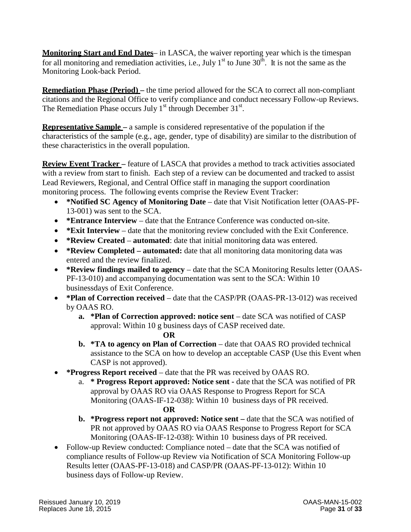**Monitoring Start and End Dates**– in LASCA, the waiver reporting year which is the timespan for all monitoring and remediation activities, i.e., July  $1<sup>st</sup>$  to June  $30<sup>th</sup>$ . It is not the same as the Monitoring Look-back Period.

**Remediation Phase (Period) –** the time period allowed for the SCA to correct all non-compliant citations and the Regional Office to verify compliance and conduct necessary Follow-up Reviews. The Remediation Phase occurs July  $1<sup>st</sup>$  through December 31 $<sup>st</sup>$ .</sup>

**Representative Sample –** a sample is considered representative of the population if the characteristics of the sample (e.g., age, gender, type of disability) are similar to the distribution of these characteristics in the overall population.

**Review Event Tracker –** feature of LASCA that provides a method to track activities associated with a review from start to finish. Each step of a review can be documented and tracked to assist Lead Reviewers, Regional, and Central Office staff in managing the support coordination monitoring process. The following events comprise the Review Event Tracker:

- **\*Notified SC Agency of Monitoring Date** date that Visit Notification letter (OAAS-PF-13-001) was sent to the SCA.
- **\*Entrance Interview** date that the Entrance Conference was conducted on-site.
- **\*Exit Interview** date that the monitoring review concluded with the Exit Conference.
- **\*Review Created automated**: date that initial monitoring data was entered.
- **\*Review Completed – automated:** date that all monitoring data monitoring data was entered and the review finalized.
- **\*Review findings mailed to agency** date that the SCA Monitoring Results letter (OAAS-PF-13-010) and accompanying documentation was sent to the SCA: Within 10 businessdays of Exit Conference.
- **\*Plan of Correction received** date that the CASP/PR (OAAS-PR-13-012) was received by OAAS RO.
	- **a. \*Plan of Correction approved: notice sent** date SCA was notified of CASP approval: Within 10 g business days of CASP received date.
		- **OR**
	- **b. \*TA to agency on Plan of Correction** date that OAAS RO provided technical assistance to the SCA on how to develop an acceptable CASP (Use this Event when CASP is not approved).
- **\*Progress Report received** date that the PR was received by OAAS RO.
	- a. **\* Progress Report approved: Notice sent -** date that the SCA was notified of PR approval by OAAS RO via OAAS Response to Progress Report for SCA Monitoring (OAAS-IF-12-038): Within 10 business days of PR received. **OR**
	- **b. \*Progress report not approved: Notice sent –** date that the SCA was notified of PR not approved by OAAS RO via OAAS Response to Progress Report for SCA Monitoring (OAAS-IF-12-038): Within 10 business days of PR received.
- Follow-up Review conducted: Compliance noted date that the SCA was notified of compliance results of Follow-up Review via Notification of SCA Monitoring Follow-up Results letter (OAAS-PF-13-018) and CASP/PR (OAAS-PF-13-012): Within 10 business days of Follow-up Review.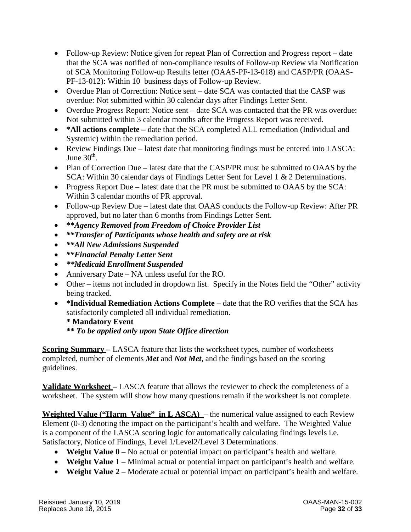- Follow-up Review: Notice given for repeat Plan of Correction and Progress report date that the SCA was notified of non-compliance results of Follow-up Review via Notification of SCA Monitoring Follow-up Results letter (OAAS-PF-13-018) and CASP/PR (OAAS-PF-13-012): Within 10 business days of Follow-up Review.
- Overdue Plan of Correction: Notice sent date SCA was contacted that the CASP was overdue: Not submitted within 30 calendar days after Findings Letter Sent.
- Overdue Progress Report: Notice sent date SCA was contacted that the PR was overdue: Not submitted within 3 calendar months after the Progress Report was received.
- \*All actions complete date that the SCA completed ALL remediation (Individual and Systemic) within the remediation period.
- Review Findings Due latest date that monitoring findings must be entered into LASCA: June  $30<sup>th</sup>$ .
- Plan of Correction Due latest date that the CASP/PR must be submitted to OAAS by the SCA: Within 30 calendar days of Findings Letter Sent for Level 1 & 2 Determinations.
- Progress Report Due latest date that the PR must be submitted to OAAS by the SCA: Within 3 calendar months of PR approval.
- Follow-up Review Due latest date that OAAS conducts the Follow-up Review: After PR approved, but no later than 6 months from Findings Letter Sent.
- **\*\****Agency Removed from Freedom of Choice Provider List*
- *\*\*Transfer of Participants whose health and safety are at risk*
- *\*\*All New Admissions Suspended*
- *\*\*Financial Penalty Letter Sent*
- *\*\*Medicaid Enrollment Suspended*
- Anniversary Date NA unless useful for the RO.
- Other items not included in dropdown list. Specify in the Notes field the "Other" activity being tracked.
- **\*Individual Remediation Actions Complete –** date that the RO verifies that the SCA has satisfactorily completed all individual remediation.

#### **\* Mandatory Event \*\*** *To be applied only upon State Office direction*

**Scoring Summary –** LASCA feature that lists the worksheet types, number of worksheets completed, number of elements *Met* and *Not Met*, and the findings based on the scoring guidelines.

**Validate Worksheet –** LASCA feature that allows the reviewer to check the completeness of a worksheet. The system will show how many questions remain if the worksheet is not complete.

**Weighted Value ("Harm Value" in L ASCA)** – the numerical value assigned to each Review Element (0-3) denoting the impact on the participant's health and welfare. The Weighted Value is a component of the LASCA scoring logic for automatically calculating findings levels i.e. Satisfactory, Notice of Findings, Level 1/Level2/Level 3 Determinations.

- **Weight Value 0** No actual or potential impact on participant's health and welfare.
- **Weight Value** 1 Minimal actual or potential impact on participant's health and welfare.
- **Weight Value** 2 Moderate actual or potential impact on participant's health and welfare.